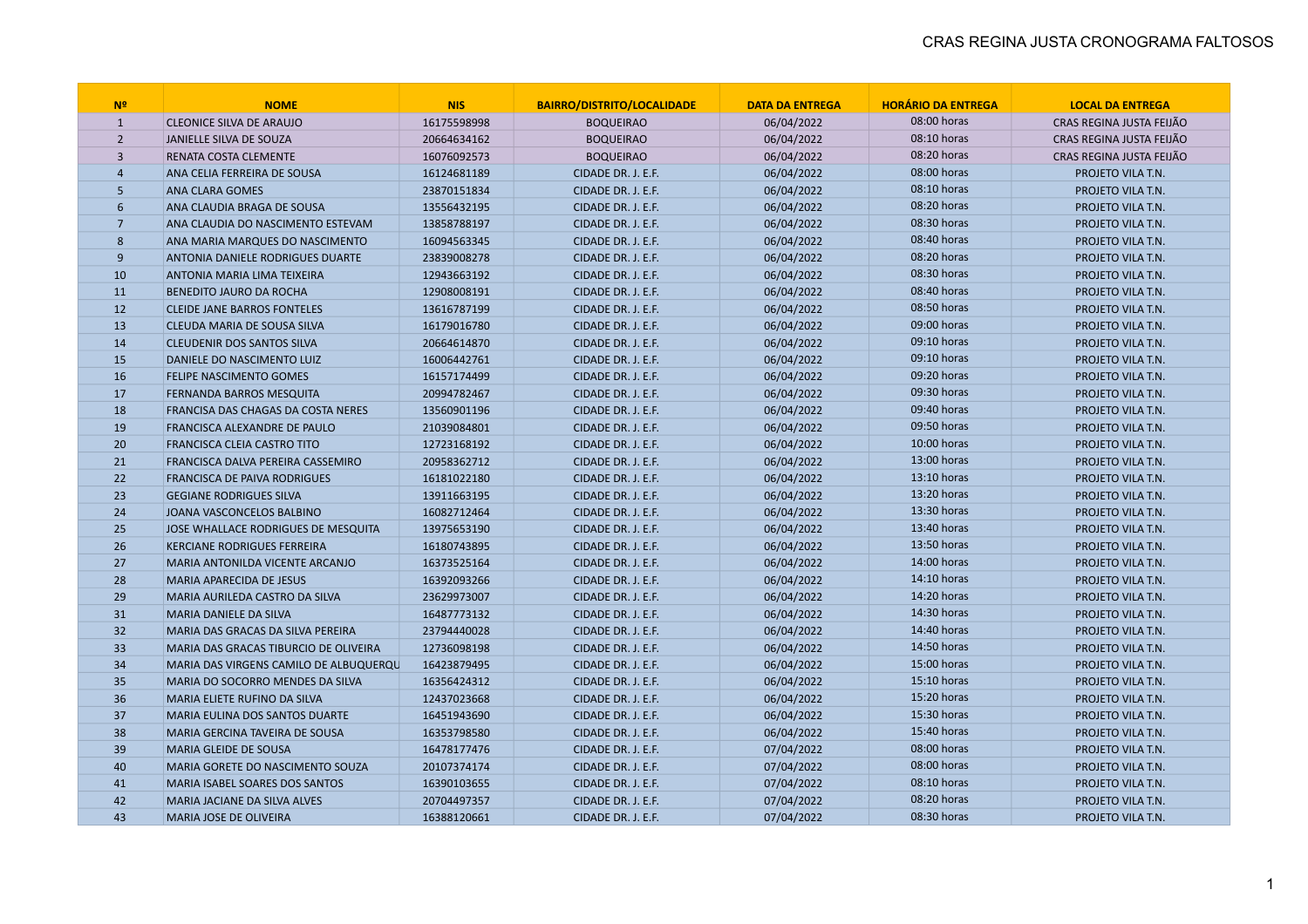| N <sup>2</sup> | <b>NOME</b>                            | <b>NIS</b>  | <b>BAIRRO/DISTRITO/LOCALIDADE</b> | <b>DATA DA ENTREGA</b> | <b>HORÁRIO DA ENTREGA</b> | <b>LOCAL DA ENTREGA</b>  |
|----------------|----------------------------------------|-------------|-----------------------------------|------------------------|---------------------------|--------------------------|
| $\mathbf{1}$   | <b>CLEONICE SILVA DE ARAUJO</b>        | 16175598998 | <b>BOQUEIRAO</b>                  | 06/04/2022             | 08:00 horas               | CRAS REGINA JUSTA FEIJÃO |
| $\overline{2}$ | JANIELLE SILVA DE SOUZA                | 20664634162 | <b>BOQUEIRAO</b>                  | 06/04/2022             | 08:10 horas               | CRAS REGINA JUSTA FEIJÃO |
| $\overline{3}$ | RENATA COSTA CLEMENTE                  | 16076092573 | <b>BOQUEIRAO</b>                  | 06/04/2022             | 08:20 horas               | CRAS REGINA JUSTA FEIJÃO |
| $\overline{4}$ | ANA CELIA FERREIRA DE SOUSA            | 16124681189 | CIDADE DR. J. E.F.                | 06/04/2022             | 08:00 horas               | PROJETO VILA T.N.        |
| 5              | <b>ANA CLARA GOMES</b>                 | 23870151834 | CIDADE DR. J. E.F.                | 06/04/2022             | 08:10 horas               | PROJETO VILA T.N.        |
| 6              | ANA CLAUDIA BRAGA DE SOUSA             | 13556432195 | CIDADE DR. J. E.F.                | 06/04/2022             | 08:20 horas               | PROJETO VILA T.N.        |
| $\overline{7}$ | ANA CLAUDIA DO NASCIMENTO ESTEVAM      | 13858788197 | CIDADE DR. J. E.F.                | 06/04/2022             | 08:30 horas               | PROJETO VILA T.N.        |
| 8              | ANA MARIA MARQUES DO NASCIMENTO        | 16094563345 | CIDADE DR. J. E.F.                | 06/04/2022             | 08:40 horas               | PROJETO VILA T.N.        |
| 9              | ANTONIA DANIELE RODRIGUES DUARTE       | 23839008278 | CIDADE DR. J. E.F.                | 06/04/2022             | 08:20 horas               | PROJETO VILA T.N.        |
| 10             | ANTONIA MARIA LIMA TEIXEIRA            | 12943663192 | CIDADE DR. J. E.F.                | 06/04/2022             | 08:30 horas               | PROJETO VILA T.N.        |
| 11             | BENEDITO JAURO DA ROCHA                | 12908008191 | CIDADE DR. J. E.F.                | 06/04/2022             | 08:40 horas               | PROJETO VILA T.N.        |
| 12             | <b>CLEIDE JANE BARROS FONTELES</b>     | 13616787199 | CIDADE DR. J. E.F.                | 06/04/2022             | 08:50 horas               | PROJETO VILA T.N.        |
| 13             | CLEUDA MARIA DE SOUSA SILVA            | 16179016780 | CIDADE DR. J. E.F.                | 06/04/2022             | 09:00 horas               | PROJETO VILA T.N.        |
| 14             | <b>CLEUDENIR DOS SANTOS SILVA</b>      | 20664614870 | CIDADE DR. J. E.F.                | 06/04/2022             | 09:10 horas               | PROJETO VILA T.N.        |
| 15             | DANIELE DO NASCIMENTO LUIZ             | 16006442761 | CIDADE DR. J. E.F.                | 06/04/2022             | 09:10 horas               | PROJETO VILA T.N.        |
| 16             | <b>FELIPE NASCIMENTO GOMES</b>         | 16157174499 | CIDADE DR. J. E.F.                | 06/04/2022             | 09:20 horas               | PROJETO VILA T.N.        |
| 17             | FERNANDA BARROS MESQUITA               | 20994782467 | CIDADE DR. J. E.F.                | 06/04/2022             | 09:30 horas               | PROJETO VILA T.N.        |
| 18             | FRANCISA DAS CHAGAS DA COSTA NERES     | 13560901196 | CIDADE DR. J. E.F.                | 06/04/2022             | 09:40 horas               | PROJETO VILA T.N.        |
| 19             | FRANCISCA ALEXANDRE DE PAULO           | 21039084801 | CIDADE DR. J. E.F.                | 06/04/2022             | 09:50 horas               | PROJETO VILA T.N.        |
| 20             | <b>FRANCISCA CLEIA CASTRO TITO</b>     | 12723168192 | CIDADE DR. J. E.F.                | 06/04/2022             | 10:00 horas               | PROJETO VILA T.N.        |
| 21             | FRANCISCA DALVA PEREIRA CASSEMIRO      | 20958362712 | CIDADE DR. J. E.F.                | 06/04/2022             | 13:00 horas               | PROJETO VILA T.N.        |
| 22             | FRANCISCA DE PAIVA RODRIGUES           | 16181022180 | CIDADE DR. J. E.F.                | 06/04/2022             | 13:10 horas               | PROJETO VILA T.N.        |
| 23             | <b>GEGIANE RODRIGUES SILVA</b>         | 13911663195 | CIDADE DR. J. E.F.                | 06/04/2022             | 13:20 horas               | PROJETO VILA T.N.        |
| 24             | JOANA VASCONCELOS BALBINO              | 16082712464 | CIDADE DR. J. E.F.                | 06/04/2022             | 13:30 horas               | PROJETO VILA T.N.        |
| 25             | JOSE WHALLACE RODRIGUES DE MESQUITA    | 13975653190 | CIDADE DR. J. E.F.                | 06/04/2022             | 13:40 horas               | PROJETO VILA T.N.        |
| 26             | <b>KERCIANE RODRIGUES FERREIRA</b>     | 16180743895 | CIDADE DR. J. E.F.                | 06/04/2022             | 13:50 horas               | PROJETO VILA T.N.        |
| 27             | MARIA ANTONILDA VICENTE ARCANJO        | 16373525164 | CIDADE DR. J. E.F.                | 06/04/2022             | 14:00 horas               | PROJETO VILA T.N.        |
| 28             | <b>MARIA APARECIDA DE JESUS</b>        | 16392093266 | CIDADE DR. J. E.F.                | 06/04/2022             | 14:10 horas               | PROJETO VILA T.N.        |
| 29             | MARIA AURILEDA CASTRO DA SILVA         | 23629973007 | CIDADE DR. J. E.F.                | 06/04/2022             | 14:20 horas               | PROJETO VILA T.N.        |
| 31             | <b>MARIA DANIELE DA SILVA</b>          | 16487773132 | CIDADE DR. J. E.F.                | 06/04/2022             | 14:30 horas               | PROJETO VILA T.N.        |
| 32             | MARIA DAS GRACAS DA SILVA PEREIRA      | 23794440028 | CIDADE DR. J. E.F.                | 06/04/2022             | 14:40 horas               | PROJETO VILA T.N.        |
| 33             | MARIA DAS GRACAS TIBURCIO DE OLIVEIRA  | 12736098198 | CIDADE DR. J. E.F.                | 06/04/2022             | 14:50 horas               | PROJETO VILA T.N.        |
| 34             | MARIA DAS VIRGENS CAMILO DE ALBUQUERQU | 16423879495 | CIDADE DR. J. E.F.                | 06/04/2022             | 15:00 horas               | PROJETO VILA T.N.        |
| 35             | MARIA DO SOCORRO MENDES DA SILVA       | 16356424312 | CIDADE DR. J. E.F.                | 06/04/2022             | 15:10 horas               | PROJETO VILA T.N.        |
| 36             | MARIA ELIETE RUFINO DA SILVA           | 12437023668 | CIDADE DR. J. E.F.                | 06/04/2022             | 15:20 horas               | PROJETO VILA T.N.        |
| 37             | MARIA EULINA DOS SANTOS DUARTE         | 16451943690 | CIDADE DR. J. E.F.                | 06/04/2022             | 15:30 horas               | PROJETO VILA T.N.        |
| 38             | MARIA GERCINA TAVEIRA DE SOUSA         | 16353798580 | CIDADE DR. J. E.F.                | 06/04/2022             | 15:40 horas               | PROJETO VILA T.N.        |
| 39             | MARIA GLEIDE DE SOUSA                  | 16478177476 | CIDADE DR. J. E.F.                | 07/04/2022             | 08:00 horas               | PROJETO VILA T.N.        |
| 40             | MARIA GORETE DO NASCIMENTO SOUZA       | 20107374174 | CIDADE DR. J. E.F.                | 07/04/2022             | 08:00 horas               | PROJETO VILA T.N.        |
| 41             | MARIA ISABEL SOARES DOS SANTOS         | 16390103655 | CIDADE DR. J. E.F.                | 07/04/2022             | 08:10 horas               | PROJETO VILA T.N.        |
| 42             | <b>MARIA JACIANE DA SILVA ALVES</b>    | 20704497357 | CIDADE DR. J. E.F.                | 07/04/2022             | 08:20 horas               | PROJETO VILA T.N.        |
| 43             | MARIA JOSE DE OLIVEIRA                 | 16388120661 | CIDADE DR. J. E.F.                | 07/04/2022             | 08:30 horas               | PROJETO VILA T.N.        |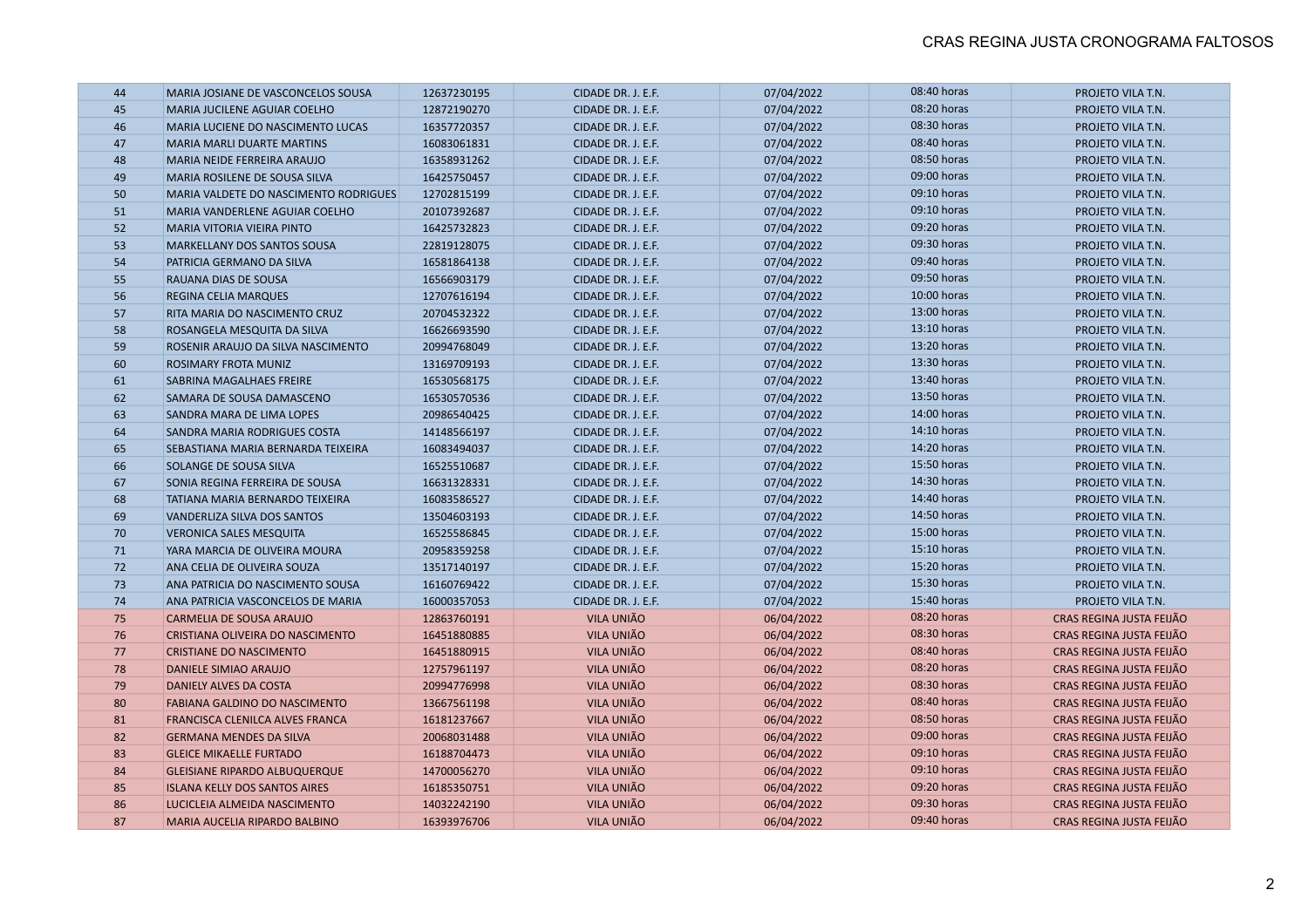| 44 | MARIA JOSIANE DE VASCONCELOS SOUSA    | 12637230195 | CIDADE DR. J. E.F. | 07/04/2022 | 08:40 horas | PROJETO VILA T.N.        |
|----|---------------------------------------|-------------|--------------------|------------|-------------|--------------------------|
| 45 | MARIA JUCILENE AGUIAR COELHO          | 12872190270 | CIDADE DR. J. E.F. | 07/04/2022 | 08:20 horas | PROJETO VILA T.N.        |
| 46 | MARIA LUCIENE DO NASCIMENTO LUCAS     | 16357720357 | CIDADE DR. J. E.F. | 07/04/2022 | 08:30 horas | PROJETO VILA T.N.        |
| 47 | <b>MARIA MARLI DUARTE MARTINS</b>     | 16083061831 | CIDADE DR. J. E.F. | 07/04/2022 | 08:40 horas | PROJETO VILA T.N.        |
| 48 | MARIA NEIDE FERREIRA ARAUJO           | 16358931262 | CIDADE DR. J. E.F. | 07/04/2022 | 08:50 horas | PROJETO VILA T.N.        |
| 49 | MARIA ROSILENE DE SOUSA SILVA         | 16425750457 | CIDADE DR. J. E.F. | 07/04/2022 | 09:00 horas | PROJETO VILA T.N.        |
| 50 | MARIA VALDETE DO NASCIMENTO RODRIGUES | 12702815199 | CIDADE DR. J. E.F. | 07/04/2022 | 09:10 horas | PROJETO VILA T.N.        |
| 51 | MARIA VANDERLENE AGUIAR COELHO        | 20107392687 | CIDADE DR. J. E.F. | 07/04/2022 | 09:10 horas | PROJETO VILA T.N.        |
| 52 | MARIA VITORIA VIEIRA PINTO            | 16425732823 | CIDADE DR. J. E.F. | 07/04/2022 | 09:20 horas | PROJETO VILA T.N.        |
| 53 | MARKELLANY DOS SANTOS SOUSA           | 22819128075 | CIDADE DR. J. E.F. | 07/04/2022 | 09:30 horas | PROJETO VILA T.N.        |
| 54 | PATRICIA GERMANO DA SILVA             | 16581864138 | CIDADE DR. J. E.F. | 07/04/2022 | 09:40 horas | PROJETO VILA T.N.        |
| 55 | RAUANA DIAS DE SOUSA                  | 16566903179 | CIDADE DR. J. E.F. | 07/04/2022 | 09:50 horas | PROJETO VILA T.N.        |
| 56 | <b>REGINA CELIA MARQUES</b>           | 12707616194 | CIDADE DR. J. E.F. | 07/04/2022 | 10:00 horas | PROJETO VILA T.N.        |
| 57 | RITA MARIA DO NASCIMENTO CRUZ         | 20704532322 | CIDADE DR. J. E.F. | 07/04/2022 | 13:00 horas | PROJETO VILA T.N.        |
| 58 | ROSANGELA MESQUITA DA SILVA           | 16626693590 | CIDADE DR. J. E.F. | 07/04/2022 | 13:10 horas | PROJETO VILA T.N.        |
| 59 | ROSENIR ARAUJO DA SILVA NASCIMENTO    | 20994768049 | CIDADE DR. J. E.F. | 07/04/2022 | 13:20 horas | PROJETO VILA T.N.        |
| 60 | ROSIMARY FROTA MUNIZ                  | 13169709193 | CIDADE DR. J. E.F. | 07/04/2022 | 13:30 horas | PROJETO VILA T.N.        |
| 61 | SABRINA MAGALHAES FREIRE              | 16530568175 | CIDADE DR. J. E.F. | 07/04/2022 | 13:40 horas | PROJETO VILA T.N.        |
| 62 | SAMARA DE SOUSA DAMASCENO             | 16530570536 | CIDADE DR. J. E.F. | 07/04/2022 | 13:50 horas | PROJETO VILA T.N.        |
| 63 | SANDRA MARA DE LIMA LOPES             | 20986540425 | CIDADE DR. J. E.F. | 07/04/2022 | 14:00 horas | PROJETO VILA T.N.        |
| 64 | SANDRA MARIA RODRIGUES COSTA          | 14148566197 | CIDADE DR. J. E.F. | 07/04/2022 | 14:10 horas | PROJETO VILA T.N.        |
| 65 | SEBASTIANA MARIA BERNARDA TEIXEIRA    | 16083494037 | CIDADE DR. J. E.F. | 07/04/2022 | 14:20 horas | PROJETO VILA T.N.        |
| 66 | SOLANGE DE SOUSA SILVA                | 16525510687 | CIDADE DR. J. E.F. | 07/04/2022 | 15:50 horas | PROJETO VILA T.N.        |
| 67 | SONIA REGINA FERREIRA DE SOUSA        | 16631328331 | CIDADE DR. J. E.F. | 07/04/2022 | 14:30 horas | PROJETO VILA T.N.        |
| 68 | TATIANA MARIA BERNARDO TEIXEIRA       | 16083586527 | CIDADE DR. J. E.F. | 07/04/2022 | 14:40 horas | PROJETO VILA T.N.        |
| 69 | VANDERLIZA SILVA DOS SANTOS           | 13504603193 | CIDADE DR. J. E.F. | 07/04/2022 | 14:50 horas | PROJETO VILA T.N.        |
| 70 | <b>VERONICA SALES MESQUITA</b>        | 16525586845 | CIDADE DR. J. E.F. | 07/04/2022 | 15:00 horas | PROJETO VILA T.N.        |
| 71 | YARA MARCIA DE OLIVEIRA MOURA         | 20958359258 | CIDADE DR. J. E.F. | 07/04/2022 | 15:10 horas | PROJETO VILA T.N.        |
| 72 | ANA CELIA DE OLIVEIRA SOUZA           | 13517140197 | CIDADE DR. J. E.F. | 07/04/2022 | 15:20 horas | PROJETO VILA T.N.        |
| 73 | ANA PATRICIA DO NASCIMENTO SOUSA      | 16160769422 | CIDADE DR. J. E.F. | 07/04/2022 | 15:30 horas | PROJETO VILA T.N.        |
| 74 | ANA PATRICIA VASCONCELOS DE MARIA     | 16000357053 | CIDADE DR. J. E.F. | 07/04/2022 | 15:40 horas | PROJETO VILA T.N.        |
| 75 | <b>CARMELIA DE SOUSA ARAUJO</b>       | 12863760191 | VILA UNIÃO         | 06/04/2022 | 08:20 horas | CRAS REGINA JUSTA FEIJÃO |
| 76 | CRISTIANA OLIVEIRA DO NASCIMENTO      | 16451880885 | VILA UNIÃO         | 06/04/2022 | 08:30 horas | CRAS REGINA JUSTA FEIJÃO |
| 77 | <b>CRISTIANE DO NASCIMENTO</b>        | 16451880915 | VILA UNIÃO         | 06/04/2022 | 08:40 horas | CRAS REGINA JUSTA FEIJÃO |
| 78 | DANIELE SIMIAO ARAUJO                 | 12757961197 | VILA UNIÃO         | 06/04/2022 | 08:20 horas | CRAS REGINA JUSTA FEIJÃO |
| 79 | DANIELY ALVES DA COSTA                | 20994776998 | VILA UNIÃO         | 06/04/2022 | 08:30 horas | CRAS REGINA JUSTA FEIJÃO |
| 80 | FABIANA GALDINO DO NASCIMENTO         | 13667561198 | VILA UNIÃO         | 06/04/2022 | 08:40 horas | CRAS REGINA JUSTA FEIJÃO |
| 81 | FRANCISCA CLENILCA ALVES FRANCA       | 16181237667 | VILA UNIÃO         | 06/04/2022 | 08:50 horas | CRAS REGINA JUSTA FEIJÃO |
| 82 | <b>GERMANA MENDES DA SILVA</b>        | 20068031488 | VILA UNIÃO         | 06/04/2022 | 09:00 horas | CRAS REGINA JUSTA FEIJÃO |
| 83 | <b>GLEICE MIKAELLE FURTADO</b>        | 16188704473 | VILA UNIÃO         | 06/04/2022 | 09:10 horas | CRAS REGINA JUSTA FEIJÃO |
| 84 | <b>GLEISIANE RIPARDO ALBUQUERQUE</b>  | 14700056270 | VILA UNIÃO         | 06/04/2022 | 09:10 horas | CRAS REGINA JUSTA FEIJÃO |
| 85 | <b>ISLANA KELLY DOS SANTOS AIRES</b>  | 16185350751 | VILA UNIÃO         | 06/04/2022 | 09:20 horas | CRAS REGINA JUSTA FEIJÃO |
| 86 | LUCICLEIA ALMEIDA NASCIMENTO          | 14032242190 | VILA UNIÃO         | 06/04/2022 | 09:30 horas | CRAS REGINA JUSTA FEIJÃO |
| 87 | MARIA AUCELIA RIPARDO BALBINO         | 16393976706 | VILA UNIÃO         | 06/04/2022 | 09:40 horas | CRAS REGINA JUSTA FEIJÃO |
|    |                                       |             |                    |            |             |                          |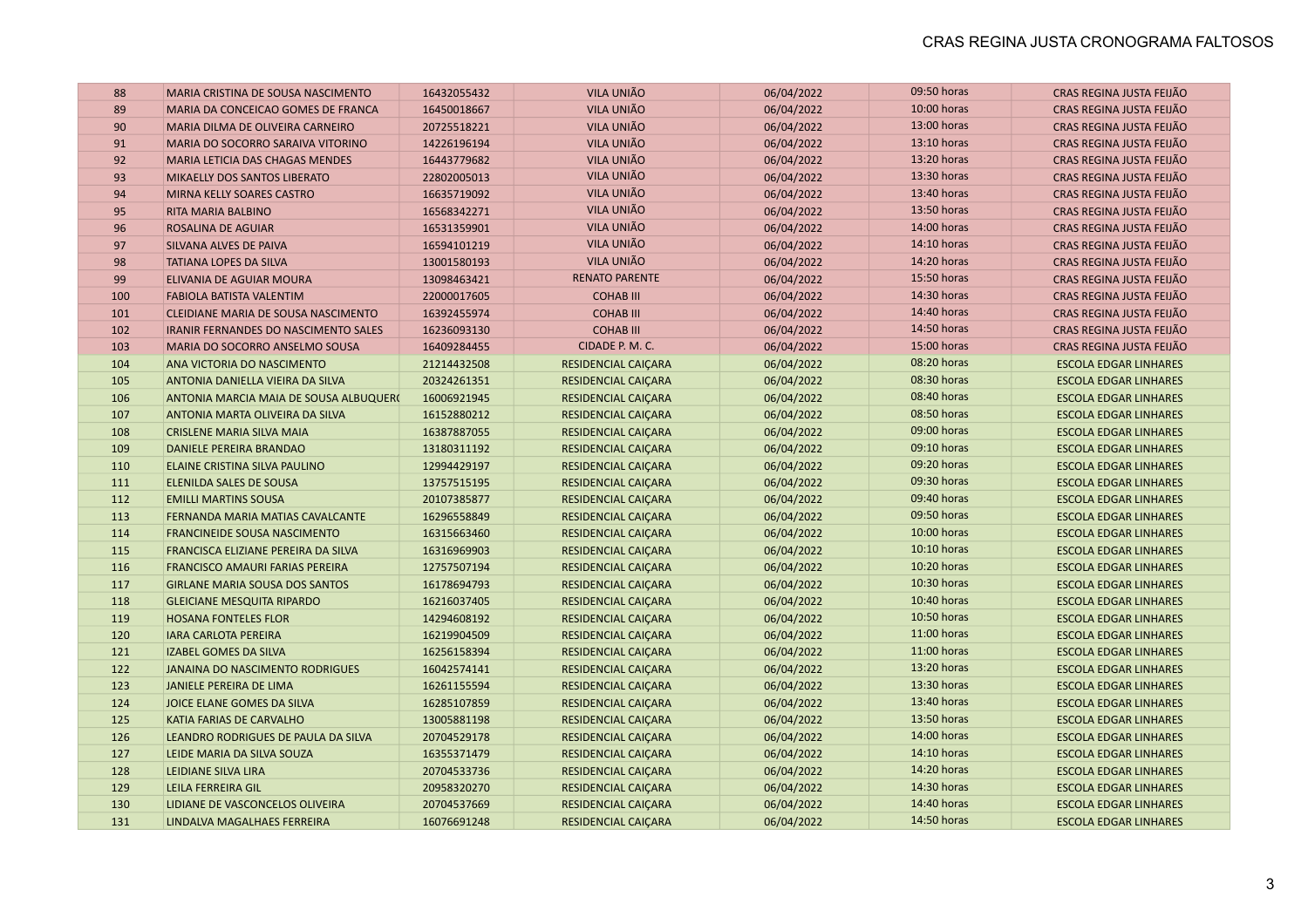| 88  | MARIA CRISTINA DE SOUSA NASCIMENTO     | 16432055432 | VILA UNIÃO                 | 06/04/2022 | 09:50 horas | CRAS REGINA JUSTA FEIJÃO     |
|-----|----------------------------------------|-------------|----------------------------|------------|-------------|------------------------------|
| 89  | MARIA DA CONCEICAO GOMES DE FRANCA     | 16450018667 | VILA UNIÃO                 | 06/04/2022 | 10:00 horas | CRAS REGINA JUSTA FEIJÃO     |
| 90  | MARIA DILMA DE OLIVEIRA CARNEIRO       | 20725518221 | <b>VILA UNIÃO</b>          | 06/04/2022 | 13:00 horas | CRAS REGINA JUSTA FEIJÃO     |
| 91  | MARIA DO SOCORRO SARAIVA VITORINO      | 14226196194 | VILA UNIÃO                 | 06/04/2022 | 13:10 horas | CRAS REGINA JUSTA FEIJÃO     |
| 92  | MARIA LETICIA DAS CHAGAS MENDES        | 16443779682 | VILA UNIÃO                 | 06/04/2022 | 13:20 horas | CRAS REGINA JUSTA FEIJÃO     |
| 93  | MIKAELLY DOS SANTOS LIBERATO           | 22802005013 | VILA UNIÃO                 | 06/04/2022 | 13:30 horas | CRAS REGINA JUSTA FEIJÃO     |
| 94  | MIRNA KELLY SOARES CASTRO              | 16635719092 | <b>VILA UNIÃO</b>          | 06/04/2022 | 13:40 horas | CRAS REGINA JUSTA FEIJÃO     |
| 95  | RITA MARIA BALBINO                     | 16568342271 | <b>VILA UNIÃO</b>          | 06/04/2022 | 13:50 horas | CRAS REGINA JUSTA FEIJÃO     |
| 96  | <b>ROSALINA DE AGUIAR</b>              | 16531359901 | VILA UNIÃO                 | 06/04/2022 | 14:00 horas | CRAS REGINA JUSTA FEIJÃO     |
| 97  | SILVANA ALVES DE PAIVA                 | 16594101219 | VILA UNIÃO                 | 06/04/2022 | 14:10 horas | CRAS REGINA JUSTA FEIJÃO     |
| 98  | <b>TATIANA LOPES DA SILVA</b>          | 13001580193 | VILA UNIÃO                 | 06/04/2022 | 14:20 horas | CRAS REGINA JUSTA FEIJÃO     |
| 99  | <b>ELIVANIA DE AGUIAR MOURA</b>        | 13098463421 | <b>RENATO PARENTE</b>      | 06/04/2022 | 15:50 horas | CRAS REGINA JUSTA FEIJÃO     |
| 100 | <b>FABIOLA BATISTA VALENTIM</b>        | 22000017605 | <b>COHAB III</b>           | 06/04/2022 | 14:30 horas | CRAS REGINA JUSTA FEIJÃO     |
| 101 | CLEIDIANE MARIA DE SOUSA NASCIMENTO    | 16392455974 | <b>COHAB III</b>           | 06/04/2022 | 14:40 horas | CRAS REGINA JUSTA FEIJÃO     |
| 102 | IRANIR FERNANDES DO NASCIMENTO SALES   | 16236093130 | <b>COHAB III</b>           | 06/04/2022 | 14:50 horas | CRAS REGINA JUSTA FEIJÃO     |
| 103 | MARIA DO SOCORRO ANSELMO SOUSA         | 16409284455 | CIDADE P. M. C.            | 06/04/2022 | 15:00 horas | CRAS REGINA JUSTA FEIJÃO     |
| 104 | ANA VICTORIA DO NASCIMENTO             | 21214432508 | <b>RESIDENCIAL CAIÇARA</b> | 06/04/2022 | 08:20 horas | <b>ESCOLA EDGAR LINHARES</b> |
| 105 | ANTONIA DANIELLA VIEIRA DA SILVA       | 20324261351 | RESIDENCIAL CAIÇARA        | 06/04/2022 | 08:30 horas | <b>ESCOLA EDGAR LINHARES</b> |
| 106 | ANTONIA MARCIA MAIA DE SOUSA ALBUQUER( | 16006921945 | <b>RESIDENCIAL CAICARA</b> | 06/04/2022 | 08:40 horas | <b>ESCOLA EDGAR LINHARES</b> |
| 107 | ANTONIA MARTA OLIVEIRA DA SILVA        | 16152880212 | <b>RESIDENCIAL CAIÇARA</b> | 06/04/2022 | 08:50 horas | <b>ESCOLA EDGAR LINHARES</b> |
| 108 | <b>CRISLENE MARIA SILVA MAIA</b>       | 16387887055 | <b>RESIDENCIAL CAIÇARA</b> | 06/04/2022 | 09:00 horas | <b>ESCOLA EDGAR LINHARES</b> |
| 109 | <b>DANIELE PEREIRA BRANDAO</b>         | 13180311192 | <b>RESIDENCIAL CAIÇARA</b> | 06/04/2022 | 09:10 horas | <b>ESCOLA EDGAR LINHARES</b> |
| 110 | <b>ELAINE CRISTINA SILVA PAULINO</b>   | 12994429197 | <b>RESIDENCIAL CAIÇARA</b> | 06/04/2022 | 09:20 horas | <b>ESCOLA EDGAR LINHARES</b> |
| 111 | <b>ELENILDA SALES DE SOUSA</b>         | 13757515195 | <b>RESIDENCIAL CAIÇARA</b> | 06/04/2022 | 09:30 horas | <b>ESCOLA EDGAR LINHARES</b> |
| 112 | <b>EMILLI MARTINS SOUSA</b>            | 20107385877 | <b>RESIDENCIAL CAIÇARA</b> | 06/04/2022 | 09:40 horas | <b>ESCOLA EDGAR LINHARES</b> |
| 113 | FERNANDA MARIA MATIAS CAVALCANTE       | 16296558849 | RESIDENCIAL CAIÇARA        | 06/04/2022 | 09:50 horas | <b>ESCOLA EDGAR LINHARES</b> |
| 114 | <b>FRANCINEIDE SOUSA NASCIMENTO</b>    | 16315663460 | RESIDENCIAL CAIÇARA        | 06/04/2022 | 10:00 horas | <b>ESCOLA EDGAR LINHARES</b> |
| 115 | FRANCISCA ELIZIANE PEREIRA DA SILVA    | 16316969903 | RESIDENCIAL CAIÇARA        | 06/04/2022 | 10:10 horas | <b>ESCOLA EDGAR LINHARES</b> |
| 116 | FRANCISCO AMAURI FARIAS PEREIRA        | 12757507194 | RESIDENCIAL CAIÇARA        | 06/04/2022 | 10:20 horas | <b>ESCOLA EDGAR LINHARES</b> |
| 117 | <b>GIRLANE MARIA SOUSA DOS SANTOS</b>  | 16178694793 | <b>RESIDENCIAL CAIÇARA</b> | 06/04/2022 | 10:30 horas | <b>ESCOLA EDGAR LINHARES</b> |
| 118 | <b>GLEICIANE MESQUITA RIPARDO</b>      | 16216037405 | <b>RESIDENCIAL CAIÇARA</b> | 06/04/2022 | 10:40 horas | <b>ESCOLA EDGAR LINHARES</b> |
| 119 | <b>HOSANA FONTELES FLOR</b>            | 14294608192 | <b>RESIDENCIAL CAIÇARA</b> | 06/04/2022 | 10:50 horas | <b>ESCOLA EDGAR LINHARES</b> |
| 120 | <b>IARA CARLOTA PEREIRA</b>            | 16219904509 | <b>RESIDENCIAL CAIÇARA</b> | 06/04/2022 | 11:00 horas | <b>ESCOLA EDGAR LINHARES</b> |
| 121 | <b>IZABEL GOMES DA SILVA</b>           | 16256158394 | <b>RESIDENCIAL CAIÇARA</b> | 06/04/2022 | 11:00 horas | <b>ESCOLA EDGAR LINHARES</b> |
| 122 | JANAINA DO NASCIMENTO RODRIGUES        | 16042574141 | RESIDENCIAL CAIÇARA        | 06/04/2022 | 13:20 horas | <b>ESCOLA EDGAR LINHARES</b> |
| 123 | <b>JANIELE PEREIRA DE LIMA</b>         | 16261155594 | <b>RESIDENCIAL CAIÇARA</b> | 06/04/2022 | 13:30 horas | <b>ESCOLA EDGAR LINHARES</b> |
| 124 | JOICE ELANE GOMES DA SILVA             | 16285107859 | RESIDENCIAL CAIÇARA        | 06/04/2022 | 13:40 horas | <b>ESCOLA EDGAR LINHARES</b> |
| 125 | KATIA FARIAS DE CARVALHO               | 13005881198 | RESIDENCIAL CAIÇARA        | 06/04/2022 | 13:50 horas | <b>ESCOLA EDGAR LINHARES</b> |
| 126 | LEANDRO RODRIGUES DE PAULA DA SILVA    | 20704529178 | RESIDENCIAL CAIÇARA        | 06/04/2022 | 14:00 horas | <b>ESCOLA EDGAR LINHARES</b> |
| 127 | LEIDE MARIA DA SILVA SOUZA             | 16355371479 | RESIDENCIAL CAIÇARA        | 06/04/2022 | 14:10 horas | <b>ESCOLA EDGAR LINHARES</b> |
| 128 | <b>LEIDIANE SILVA LIRA</b>             | 20704533736 | <b>RESIDENCIAL CAIÇARA</b> | 06/04/2022 | 14:20 horas | <b>ESCOLA EDGAR LINHARES</b> |
| 129 | <b>LEILA FERREIRA GIL</b>              | 20958320270 | <b>RESIDENCIAL CAIÇARA</b> | 06/04/2022 | 14:30 horas | <b>ESCOLA EDGAR LINHARES</b> |
| 130 | LIDIANE DE VASCONCELOS OLIVEIRA        | 20704537669 | <b>RESIDENCIAL CAIÇARA</b> | 06/04/2022 | 14:40 horas | <b>ESCOLA EDGAR LINHARES</b> |
| 131 | LINDALVA MAGALHAES FERREIRA            | 16076691248 | <b>RESIDENCIAL CAICARA</b> | 06/04/2022 | 14:50 horas | <b>ESCOLA EDGAR LINHARES</b> |
|     |                                        |             |                            |            |             |                              |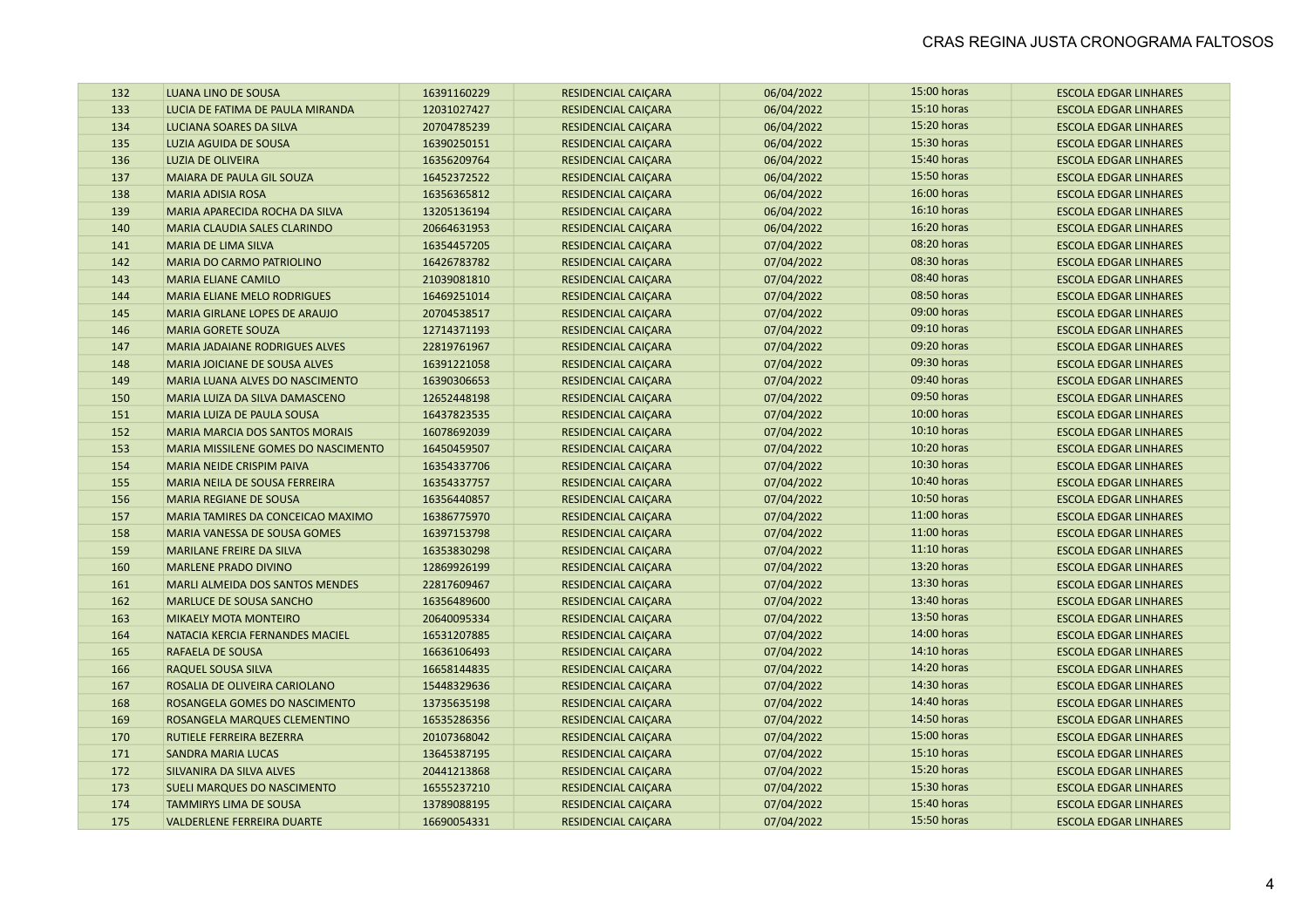| 132 | LUANA LINO DE SOUSA                   | 16391160229 | <b>RESIDENCIAL CAIÇARA</b> | 06/04/2022 | 15:00 horas | <b>ESCOLA EDGAR LINHARES</b> |
|-----|---------------------------------------|-------------|----------------------------|------------|-------------|------------------------------|
| 133 | LUCIA DE FATIMA DE PAULA MIRANDA      | 12031027427 | <b>RESIDENCIAL CAIÇARA</b> | 06/04/2022 | 15:10 horas | <b>ESCOLA EDGAR LINHARES</b> |
| 134 | LUCIANA SOARES DA SILVA               | 20704785239 | <b>RESIDENCIAL CAIÇARA</b> | 06/04/2022 | 15:20 horas | <b>ESCOLA EDGAR LINHARES</b> |
| 135 | LUZIA AGUIDA DE SOUSA                 | 16390250151 | <b>RESIDENCIAL CAIÇARA</b> | 06/04/2022 | 15:30 horas | <b>ESCOLA EDGAR LINHARES</b> |
| 136 | <b>LUZIA DE OLIVEIRA</b>              | 16356209764 | RESIDENCIAL CAIÇARA        | 06/04/2022 | 15:40 horas | <b>ESCOLA EDGAR LINHARES</b> |
| 137 | MAIARA DE PAULA GIL SOUZA             | 16452372522 | RESIDENCIAL CAIÇARA        | 06/04/2022 | 15:50 horas | <b>ESCOLA EDGAR LINHARES</b> |
| 138 | <b>MARIA ADISIA ROSA</b>              | 16356365812 | RESIDENCIAL CAIÇARA        | 06/04/2022 | 16:00 horas | <b>ESCOLA EDGAR LINHARES</b> |
| 139 | MARIA APARECIDA ROCHA DA SILVA        | 13205136194 | RESIDENCIAL CAIÇARA        | 06/04/2022 | 16:10 horas | <b>ESCOLA EDGAR LINHARES</b> |
| 140 | <b>MARIA CLAUDIA SALES CLARINDO</b>   | 20664631953 | <b>RESIDENCIAL CAIÇARA</b> | 06/04/2022 | 16:20 horas | <b>ESCOLA EDGAR LINHARES</b> |
| 141 | <b>MARIA DE LIMA SILVA</b>            | 16354457205 | <b>RESIDENCIAL CAIÇARA</b> | 07/04/2022 | 08:20 horas | <b>ESCOLA EDGAR LINHARES</b> |
| 142 | <b>MARIA DO CARMO PATRIOLINO</b>      | 16426783782 | RESIDENCIAL CAIÇARA        | 07/04/2022 | 08:30 horas | <b>ESCOLA EDGAR LINHARES</b> |
| 143 | <b>MARIA ELIANE CAMILO</b>            | 21039081810 | <b>RESIDENCIAL CAIÇARA</b> | 07/04/2022 | 08:40 horas | <b>ESCOLA EDGAR LINHARES</b> |
| 144 | <b>MARIA ELIANE MELO RODRIGUES</b>    | 16469251014 | <b>RESIDENCIAL CAIÇARA</b> | 07/04/2022 | 08:50 horas | <b>ESCOLA EDGAR LINHARES</b> |
| 145 | MARIA GIRLANE LOPES DE ARAUJO         | 20704538517 | <b>RESIDENCIAL CAIÇARA</b> | 07/04/2022 | 09:00 horas | <b>ESCOLA EDGAR LINHARES</b> |
| 146 | <b>MARIA GORETE SOUZA</b>             | 12714371193 | RESIDENCIAL CAIÇARA        | 07/04/2022 | 09:10 horas | <b>ESCOLA EDGAR LINHARES</b> |
| 147 | <b>MARIA JADAIANE RODRIGUES ALVES</b> | 22819761967 | <b>RESIDENCIAL CAIÇARA</b> | 07/04/2022 | 09:20 horas | <b>ESCOLA EDGAR LINHARES</b> |
| 148 | MARIA JOICIANE DE SOUSA ALVES         | 16391221058 | <b>RESIDENCIAL CAIÇARA</b> | 07/04/2022 | 09:30 horas | <b>ESCOLA EDGAR LINHARES</b> |
| 149 | MARIA LUANA ALVES DO NASCIMENTO       | 16390306653 | RESIDENCIAL CAIÇARA        | 07/04/2022 | 09:40 horas | <b>ESCOLA EDGAR LINHARES</b> |
| 150 | MARIA LUIZA DA SILVA DAMASCENO        | 12652448198 | RESIDENCIAL CAIÇARA        | 07/04/2022 | 09:50 horas | <b>ESCOLA EDGAR LINHARES</b> |
| 151 | MARIA LUIZA DE PAULA SOUSA            | 16437823535 | <b>RESIDENCIAL CAIÇARA</b> | 07/04/2022 | 10:00 horas | <b>ESCOLA EDGAR LINHARES</b> |
| 152 | <b>MARIA MARCIA DOS SANTOS MORAIS</b> | 16078692039 | <b>RESIDENCIAL CAIÇARA</b> | 07/04/2022 | 10:10 horas | <b>ESCOLA EDGAR LINHARES</b> |
| 153 | MARIA MISSILENE GOMES DO NASCIMENTO   | 16450459507 | <b>RESIDENCIAL CAIÇARA</b> | 07/04/2022 | 10:20 horas | <b>ESCOLA EDGAR LINHARES</b> |
| 154 | <b>MARIA NEIDE CRISPIM PAIVA</b>      | 16354337706 | <b>RESIDENCIAL CAIÇARA</b> | 07/04/2022 | 10:30 horas | <b>ESCOLA EDGAR LINHARES</b> |
| 155 | MARIA NEILA DE SOUSA FERREIRA         | 16354337757 | <b>RESIDENCIAL CAIÇARA</b> | 07/04/2022 | 10:40 horas | <b>ESCOLA EDGAR LINHARES</b> |
| 156 | <b>MARIA REGIANE DE SOUSA</b>         | 16356440857 | <b>RESIDENCIAL CAIÇARA</b> | 07/04/2022 | 10:50 horas | <b>ESCOLA EDGAR LINHARES</b> |
| 157 | MARIA TAMIRES DA CONCEICAO MAXIMO     | 16386775970 | RESIDENCIAL CAIÇARA        | 07/04/2022 | 11:00 horas | <b>ESCOLA EDGAR LINHARES</b> |
| 158 | MARIA VANESSA DE SOUSA GOMES          | 16397153798 | RESIDENCIAL CAIÇARA        | 07/04/2022 | 11:00 horas | <b>ESCOLA EDGAR LINHARES</b> |
| 159 | <b>MARILANE FREIRE DA SILVA</b>       | 16353830298 | RESIDENCIAL CAIÇARA        | 07/04/2022 | 11:10 horas | <b>ESCOLA EDGAR LINHARES</b> |
| 160 | <b>MARLENE PRADO DIVINO</b>           | 12869926199 | RESIDENCIAL CAIÇARA        | 07/04/2022 | 13:20 horas | <b>ESCOLA EDGAR LINHARES</b> |
| 161 | MARLI ALMEIDA DOS SANTOS MENDES       | 22817609467 | <b>RESIDENCIAL CAIÇARA</b> | 07/04/2022 | 13:30 horas | <b>ESCOLA EDGAR LINHARES</b> |
| 162 | <b>MARLUCE DE SOUSA SANCHO</b>        | 16356489600 | <b>RESIDENCIAL CAIÇARA</b> | 07/04/2022 | 13:40 horas | <b>ESCOLA EDGAR LINHARES</b> |
| 163 | <b>MIKAELY MOTA MONTEIRO</b>          | 20640095334 | <b>RESIDENCIAL CAIÇARA</b> | 07/04/2022 | 13:50 horas | <b>ESCOLA EDGAR LINHARES</b> |
| 164 | NATACIA KERCIA FERNANDES MACIEL       | 16531207885 | <b>RESIDENCIAL CAIÇARA</b> | 07/04/2022 | 14:00 horas | <b>ESCOLA EDGAR LINHARES</b> |
| 165 | RAFAELA DE SOUSA                      | 16636106493 | <b>RESIDENCIAL CAIÇARA</b> | 07/04/2022 | 14:10 horas | <b>ESCOLA EDGAR LINHARES</b> |
| 166 | RAQUEL SOUSA SILVA                    | 16658144835 | RESIDENCIAL CAIÇARA        | 07/04/2022 | 14:20 horas | <b>ESCOLA EDGAR LINHARES</b> |
| 167 | ROSALIA DE OLIVEIRA CARIOLANO         | 15448329636 | <b>RESIDENCIAL CAIÇARA</b> | 07/04/2022 | 14:30 horas | <b>ESCOLA EDGAR LINHARES</b> |
| 168 | ROSANGELA GOMES DO NASCIMENTO         | 13735635198 | <b>RESIDENCIAL CAIÇARA</b> | 07/04/2022 | 14:40 horas | <b>ESCOLA EDGAR LINHARES</b> |
| 169 | ROSANGELA MARQUES CLEMENTINO          | 16535286356 | RESIDENCIAL CAIÇARA        | 07/04/2022 | 14:50 horas | <b>ESCOLA EDGAR LINHARES</b> |
| 170 | RUTIELE FERREIRA BEZERRA              | 20107368042 | RESIDENCIAL CAIÇARA        | 07/04/2022 | 15:00 horas | <b>ESCOLA EDGAR LINHARES</b> |
| 171 | <b>SANDRA MARIA LUCAS</b>             | 13645387195 | RESIDENCIAL CAIÇARA        | 07/04/2022 | 15:10 horas | <b>ESCOLA EDGAR LINHARES</b> |
| 172 | SILVANIRA DA SILVA ALVES              | 20441213868 | <b>RESIDENCIAL CAIÇARA</b> | 07/04/2022 | 15:20 horas | <b>ESCOLA EDGAR LINHARES</b> |
| 173 | <b>SUELI MARQUES DO NASCIMENTO</b>    | 16555237210 | <b>RESIDENCIAL CAIÇARA</b> | 07/04/2022 | 15:30 horas | <b>ESCOLA EDGAR LINHARES</b> |
| 174 | <b>TAMMIRYS LIMA DE SOUSA</b>         | 13789088195 | <b>RESIDENCIAL CAIÇARA</b> | 07/04/2022 | 15:40 horas | <b>ESCOLA EDGAR LINHARES</b> |
| 175 | <b>VALDERLENE FERREIRA DUARTE</b>     | 16690054331 | <b>RESIDENCIAL CAICARA</b> | 07/04/2022 | 15:50 horas | <b>ESCOLA EDGAR LINHARES</b> |